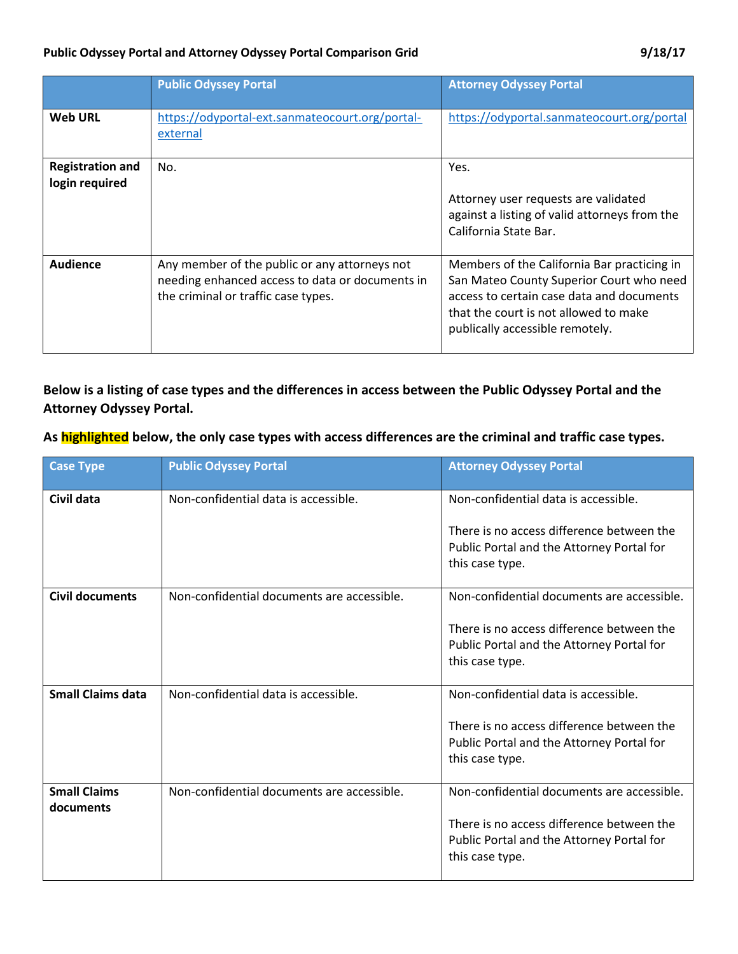|                                           | <b>Public Odyssey Portal</b>                                                                                                            | <b>Attorney Odyssey Portal</b>                                                                                                                                                                                   |
|-------------------------------------------|-----------------------------------------------------------------------------------------------------------------------------------------|------------------------------------------------------------------------------------------------------------------------------------------------------------------------------------------------------------------|
| <b>Web URL</b>                            | https://odyportal-ext.sanmateocourt.org/portal-<br>external                                                                             | https://odyportal.sanmateocourt.org/portal                                                                                                                                                                       |
| <b>Registration and</b><br>login required | No.                                                                                                                                     | Yes.<br>Attorney user requests are validated<br>against a listing of valid attorneys from the<br>California State Bar.                                                                                           |
| Audience                                  | Any member of the public or any attorneys not<br>needing enhanced access to data or documents in<br>the criminal or traffic case types. | Members of the California Bar practicing in<br>San Mateo County Superior Court who need<br>access to certain case data and documents<br>that the court is not allowed to make<br>publically accessible remotely. |

## **Below is a listing of case types and the differences in access between the Public Odyssey Portal and the Attorney Odyssey Portal.**

## **As highlighted below, the only case types with access differences are the criminal and traffic case types.**

| <b>Case Type</b>                 | <b>Public Odyssey Portal</b>               | <b>Attorney Odyssey Portal</b>                                                                                                                          |
|----------------------------------|--------------------------------------------|---------------------------------------------------------------------------------------------------------------------------------------------------------|
| Civil data                       | Non-confidential data is accessible.       | Non-confidential data is accessible.<br>There is no access difference between the<br>Public Portal and the Attorney Portal for<br>this case type.       |
| <b>Civil documents</b>           | Non-confidential documents are accessible. | Non-confidential documents are accessible.<br>There is no access difference between the<br>Public Portal and the Attorney Portal for<br>this case type. |
| <b>Small Claims data</b>         | Non-confidential data is accessible.       | Non-confidential data is accessible.<br>There is no access difference between the<br>Public Portal and the Attorney Portal for<br>this case type.       |
| <b>Small Claims</b><br>documents | Non-confidential documents are accessible. | Non-confidential documents are accessible.<br>There is no access difference between the<br>Public Portal and the Attorney Portal for<br>this case type. |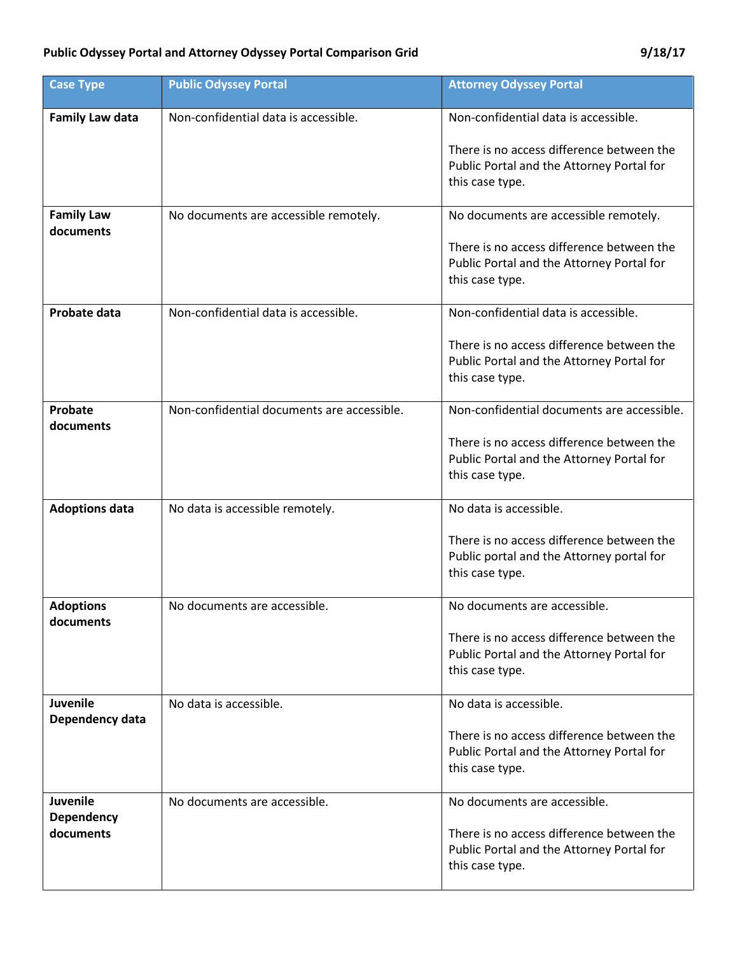| <b>Case Type</b>                   | <b>Public Odyssey Portal</b>               | <b>Attorney Odyssey Portal</b>                                                                            |
|------------------------------------|--------------------------------------------|-----------------------------------------------------------------------------------------------------------|
| <b>Family Law data</b>             | Non-confidential data is accessible.       | Non-confidential data is accessible.                                                                      |
|                                    |                                            | There is no access difference between the<br>Public Portal and the Attorney Portal for<br>this case type. |
| <b>Family Law</b><br>documents     | No documents are accessible remotely.      | No documents are accessible remotely.                                                                     |
|                                    |                                            | There is no access difference between the<br>Public Portal and the Attorney Portal for<br>this case type. |
| Probate data                       | Non-confidential data is accessible.       | Non-confidential data is accessible.                                                                      |
|                                    |                                            | There is no access difference between the<br>Public Portal and the Attorney Portal for<br>this case type. |
| Probate<br>documents               | Non-confidential documents are accessible. | Non-confidential documents are accessible.                                                                |
|                                    |                                            | There is no access difference between the<br>Public Portal and the Attorney Portal for<br>this case type. |
| <b>Adoptions data</b>              | No data is accessible remotely.            | No data is accessible.                                                                                    |
|                                    |                                            | There is no access difference between the<br>Public portal and the Attorney portal for<br>this case type. |
| <b>Adoptions</b><br>documents      | No documents are accessible.               | No documents are accessible.                                                                              |
|                                    |                                            | There is no access difference between the<br>Public Portal and the Attorney Portal for<br>this case type. |
| <b>Juvenile</b><br>Dependency data | No data is accessible.                     | No data is accessible.                                                                                    |
|                                    |                                            | There is no access difference between the<br>Public Portal and the Attorney Portal for<br>this case type. |
| <b>Juvenile</b><br>Dependency      | No documents are accessible.               | No documents are accessible.                                                                              |
| documents                          |                                            | There is no access difference between the<br>Public Portal and the Attorney Portal for<br>this case type. |